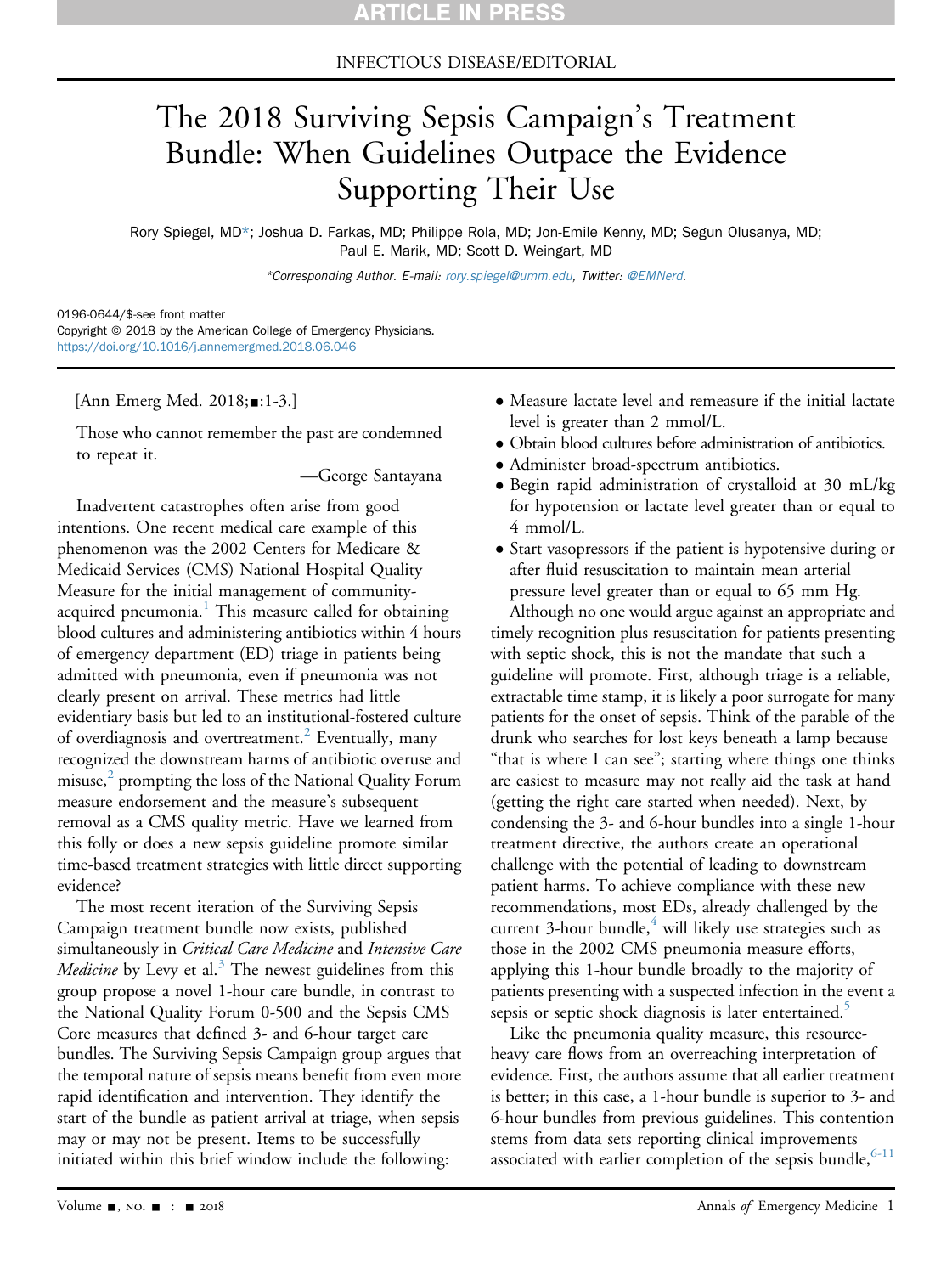## INFECTIOUS DISEASE/EDITORIAL

# The 2018 Surviving Sepsis Campaign's Treatment Bundle: When Guidelines Outpace the Evidence Supporting Their Use

Rory Spiegel, MD\*; Joshua D. Farkas, MD; Philippe Rola, MD; Jon-Emile Kenny, MD; Segun Olusanya, MD; Paul E. Marik, MD; Scott D. Weingart, MD

\*Corresponding Author. E-mail: [rory.spiegel@umm.edu,](mailto:rory.spiegel@umm.edu) Twitter: [@EMNerd](https://twitter.com/EMNerd).

0196-0644/\$-see front matter

Copyright © 2018 by the American College of Emergency Physicians. <https://doi.org/10.1016/j.annemergmed.2018.06.046>

 $[Ann~Energy~Med.~2018;1-3.]$ 

Those who cannot remember the past are condemned to repeat it.

—George Santayana

Inadvertent catastrophes often arise from good intentions. One recent medical care example of this phenomenon was the 2002 Centers for Medicare & Medicaid Services (CMS) National Hospital Quality Measure for the initial management of community-acquired pneumonia.<sup>[1](#page-2-0)</sup> This measure called for obtaining blood cultures and administering antibiotics within 4 hours of emergency department (ED) triage in patients being admitted with pneumonia, even if pneumonia was not clearly present on arrival. These metrics had little evidentiary basis but led to an institutional-fostered culture of overdiagnosis and overtreatment.<sup>[2](#page-2-1)</sup> Eventually, many recognized the downstream harms of antibiotic overuse and misuse, $\frac{2}{\pi}$  $\frac{2}{\pi}$  $\frac{2}{\pi}$  prompting the loss of the National Quality Forum measure endorsement and the measure's subsequent removal as a CMS quality metric. Have we learned from this folly or does a new sepsis guideline promote similar time-based treatment strategies with little direct supporting evidence?

The most recent iteration of the Surviving Sepsis Campaign treatment bundle now exists, published simultaneously in Critical Care Medicine and Intensive Care *Medicine* by Levy et al.<sup>[3](#page-2-2)</sup> The newest guidelines from this group propose a novel 1-hour care bundle, in contrast to the National Quality Forum 0-500 and the Sepsis CMS Core measures that defined 3- and 6-hour target care bundles. The Surviving Sepsis Campaign group argues that the temporal nature of sepsis means benefit from even more rapid identification and intervention. They identify the start of the bundle as patient arrival at triage, when sepsis may or may not be present. Items to be successfully initiated within this brief window include the following:

- Measure lactate level and remeasure if the initial lactate level is greater than 2 mmol/L.
- Obtain blood cultures before administration of antibiotics.
- Administer broad-spectrum antibiotics.
- Begin rapid administration of crystalloid at 30 mL/kg for hypotension or lactate level greater than or equal to 4 mmol/L.
- Start vasopressors if the patient is hypotensive during or after fluid resuscitation to maintain mean arterial pressure level greater than or equal to 65 mm Hg.

Although no one would argue against an appropriate and timely recognition plus resuscitation for patients presenting with septic shock, this is not the mandate that such a guideline will promote. First, although triage is a reliable, extractable time stamp, it is likely a poor surrogate for many patients for the onset of sepsis. Think of the parable of the drunk who searches for lost keys beneath a lamp because "that is where I can see"; starting where things one thinks are easiest to measure may not really aid the task at hand (getting the right care started when needed). Next, by condensing the 3- and 6-hour bundles into a single 1-hour treatment directive, the authors create an operational challenge with the potential of leading to downstream patient harms. To achieve compliance with these new recommendations, most EDs, already challenged by the current 3-hour bundle, $4$  will likely use strategies such as those in the 2002 CMS pneumonia measure efforts, applying this 1-hour bundle broadly to the majority of patients presenting with a suspected infection in the event a sepsis or septic shock diagnosis is later entertained.<sup>[5](#page-2-4)</sup>

Like the pneumonia quality measure, this resourceheavy care flows from an overreaching interpretation of evidence. First, the authors assume that all earlier treatment is better; in this case, a 1-hour bundle is superior to 3- and 6-hour bundles from previous guidelines. This contention stems from data sets reporting clinical improvements associated with earlier completion of the sepsis bundle,  $6-11$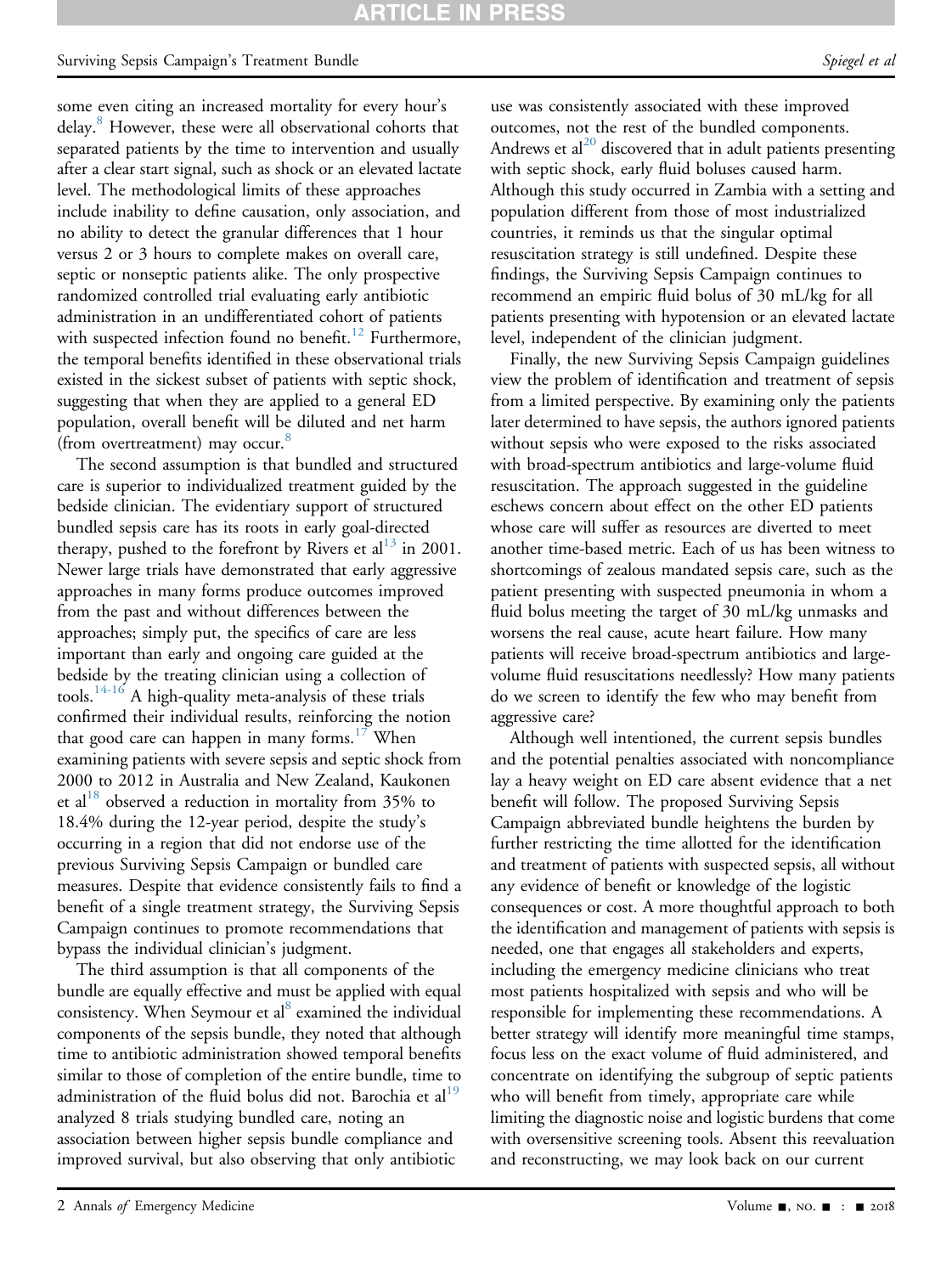### Surviving Sepsis Campaign's Treatment Bundle Spiegel et al. Spiegel et al. Spiegel et al.

some even citing an increased mortality for every hour's delay.<sup>8</sup> However, these were all observational cohorts that separated patients by the time to intervention and usually after a clear start signal, such as shock or an elevated lactate level. The methodological limits of these approaches include inability to define causation, only association, and no ability to detect the granular differences that 1 hour versus 2 or 3 hours to complete makes on overall care, septic or nonseptic patients alike. The only prospective randomized controlled trial evaluating early antibiotic administration in an undifferentiated cohort of patients with suspected infection found no benefit.<sup>[12](#page-2-7)</sup> Furthermore, the temporal benefits identified in these observational trials existed in the sickest subset of patients with septic shock, suggesting that when they are applied to a general ED population, overall benefit will be diluted and net harm (from overtreatment) may occur.<sup>[8](#page-2-6)</sup>

The second assumption is that bundled and structured care is superior to individualized treatment guided by the bedside clinician. The evidentiary support of structured bundled sepsis care has its roots in early goal-directed therapy, pushed to the forefront by Rivers et al<sup>[13](#page-2-8)</sup> in 2001. Newer large trials have demonstrated that early aggressive approaches in many forms produce outcomes improved from the past and without differences between the approaches; simply put, the specifics of care are less important than early and ongoing care guided at the bedside by the treating clinician using a collection of tools. $14-16$  A high-quality meta-analysis of these trials confirmed their individual results, reinforcing the notion that good care can happen in many forms.<sup>[17](#page-2-10)</sup> When examining patients with severe sepsis and septic shock from 2000 to 2012 in Australia and New Zealand, Kaukonen et al<sup>[18](#page-2-11)</sup> observed a reduction in mortality from 35% to 18.4% during the 12-year period, despite the study's occurring in a region that did not endorse use of the previous Surviving Sepsis Campaign or bundled care measures. Despite that evidence consistently fails to find a benefit of a single treatment strategy, the Surviving Sepsis Campaign continues to promote recommendations that bypass the individual clinician's judgment.

The third assumption is that all components of the bundle are equally effective and must be applied with equal consistency. When Seymour et al<sup>[8](#page-2-6)</sup> examined the individual components of the sepsis bundle, they noted that although time to antibiotic administration showed temporal benefits similar to those of completion of the entire bundle, time to administration of the fluid bolus did not. Barochia et al<sup>[19](#page-2-12)</sup> analyzed 8 trials studying bundled care, noting an association between higher sepsis bundle compliance and improved survival, but also observing that only antibiotic

use was consistently associated with these improved outcomes, not the rest of the bundled components. Andrews et al $^{20}$  $^{20}$  $^{20}$  discovered that in adult patients presenting with septic shock, early fluid boluses caused harm. Although this study occurred in Zambia with a setting and population different from those of most industrialized countries, it reminds us that the singular optimal resuscitation strategy is still undefined. Despite these findings, the Surviving Sepsis Campaign continues to recommend an empiric fluid bolus of 30 mL/kg for all patients presenting with hypotension or an elevated lactate level, independent of the clinician judgment.

Finally, the new Surviving Sepsis Campaign guidelines view the problem of identification and treatment of sepsis from a limited perspective. By examining only the patients later determined to have sepsis, the authors ignored patients without sepsis who were exposed to the risks associated with broad-spectrum antibiotics and large-volume fluid resuscitation. The approach suggested in the guideline eschews concern about effect on the other ED patients whose care will suffer as resources are diverted to meet another time-based metric. Each of us has been witness to shortcomings of zealous mandated sepsis care, such as the patient presenting with suspected pneumonia in whom a fluid bolus meeting the target of 30 mL/kg unmasks and worsens the real cause, acute heart failure. How many patients will receive broad-spectrum antibiotics and largevolume fluid resuscitations needlessly? How many patients do we screen to identify the few who may benefit from aggressive care?

Although well intentioned, the current sepsis bundles and the potential penalties associated with noncompliance lay a heavy weight on ED care absent evidence that a net benefit will follow. The proposed Surviving Sepsis Campaign abbreviated bundle heightens the burden by further restricting the time allotted for the identification and treatment of patients with suspected sepsis, all without any evidence of benefit or knowledge of the logistic consequences or cost. A more thoughtful approach to both the identification and management of patients with sepsis is needed, one that engages all stakeholders and experts, including the emergency medicine clinicians who treat most patients hospitalized with sepsis and who will be responsible for implementing these recommendations. A better strategy will identify more meaningful time stamps, focus less on the exact volume of fluid administered, and concentrate on identifying the subgroup of septic patients who will benefit from timely, appropriate care while limiting the diagnostic noise and logistic burdens that come with oversensitive screening tools. Absent this reevaluation and reconstructing, we may look back on our current